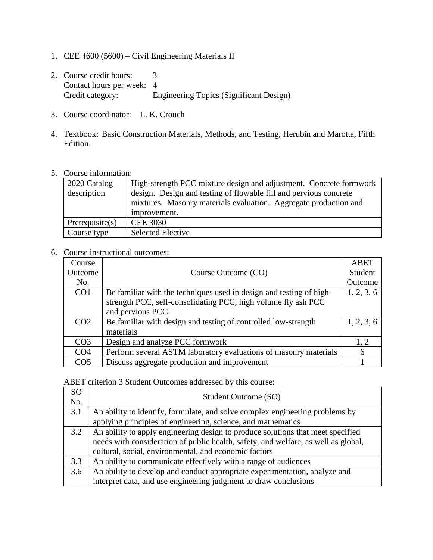- 1. CEE 4600 (5600) Civil Engineering Materials II
- 2. Course credit hours: 3 Contact hours per week: 4 Credit category: Engineering Topics (Significant Design)
- 3. Course coordinator: L. K. Crouch
- 4. Textbook: Basic Construction Materials, Methods, and Testing, Herubin and Marotta, Fifth Edition.
- 5. Course information:

| 2020 Catalog<br>description | High-strength PCC mixture design and adjustment. Concrete formwork<br>design. Design and testing of flowable fill and pervious concrete<br>mixtures. Masonry materials evaluation. Aggregate production and<br>improvement. |
|-----------------------------|-----------------------------------------------------------------------------------------------------------------------------------------------------------------------------------------------------------------------------|
| Prerequires(s)              | <b>CEE 3030</b>                                                                                                                                                                                                             |
| Course type                 | <b>Selected Elective</b>                                                                                                                                                                                                    |

6. Course instructional outcomes:

| Course          |                                                                     | <b>ABET</b> |
|-----------------|---------------------------------------------------------------------|-------------|
| Outcome         | Course Outcome (CO)                                                 | Student     |
| No.             |                                                                     | Outcome     |
| CO <sub>1</sub> | Be familiar with the techniques used in design and testing of high- | 1, 2, 3, 6  |
|                 | strength PCC, self-consolidating PCC, high volume fly ash PCC       |             |
|                 | and pervious PCC                                                    |             |
| CO <sub>2</sub> | Be familiar with design and testing of controlled low-strength      | 1, 2, 3, 6  |
|                 | materials                                                           |             |
| CO <sub>3</sub> | Design and analyze PCC formwork                                     | 1.2         |
| CO <sub>4</sub> | Perform several ASTM laboratory evaluations of masonry materials    | 6           |
| CO <sub>5</sub> | Discuss aggregate production and improvement                        |             |

ABET criterion 3 Student Outcomes addressed by this course:

| SO  | Student Outcome (SO)                                                               |
|-----|------------------------------------------------------------------------------------|
| No. |                                                                                    |
| 3.1 | An ability to identify, formulate, and solve complex engineering problems by       |
|     | applying principles of engineering, science, and mathematics                       |
| 3.2 | An ability to apply engineering design to produce solutions that meet specified    |
|     | needs with consideration of public health, safety, and welfare, as well as global, |
|     | cultural, social, environmental, and economic factors                              |
| 3.3 | An ability to communicate effectively with a range of audiences                    |
| 3.6 | An ability to develop and conduct appropriate experimentation, analyze and         |
|     | interpret data, and use engineering judgment to draw conclusions                   |